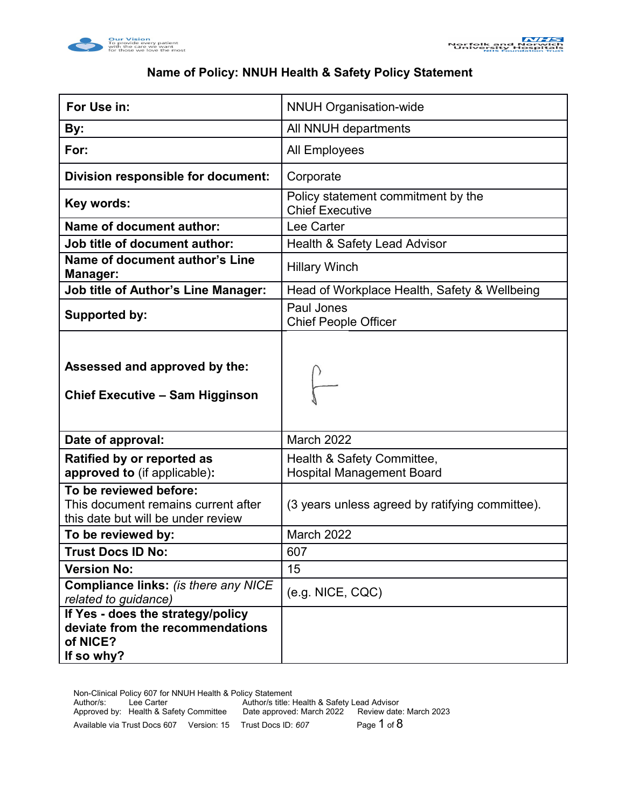



## **Name of Policy: NNUH Health & Safety Policy Statement**

| For Use in:                                                                                         | <b>NNUH Organisation-wide</b>                                  |  |
|-----------------------------------------------------------------------------------------------------|----------------------------------------------------------------|--|
| By:                                                                                                 | All NNUH departments                                           |  |
| For:                                                                                                | <b>All Employees</b>                                           |  |
| Division responsible for document:                                                                  | Corporate                                                      |  |
| Key words:                                                                                          | Policy statement commitment by the<br><b>Chief Executive</b>   |  |
| <b>Name of document author:</b>                                                                     | Lee Carter                                                     |  |
| Job title of document author:                                                                       | Health & Safety Lead Advisor                                   |  |
| Name of document author's Line<br>Manager:                                                          | <b>Hillary Winch</b>                                           |  |
| <b>Job title of Author's Line Manager:</b>                                                          | Head of Workplace Health, Safety & Wellbeing                   |  |
| <b>Supported by:</b>                                                                                | Paul Jones<br><b>Chief People Officer</b>                      |  |
| Assessed and approved by the:<br><b>Chief Executive - Sam Higginson</b>                             |                                                                |  |
| Date of approval:                                                                                   | <b>March 2022</b>                                              |  |
| Ratified by or reported as<br>approved to (if applicable):                                          | Health & Safety Committee,<br><b>Hospital Management Board</b> |  |
| To be reviewed before:<br>This document remains current after<br>this date but will be under review | (3 years unless agreed by ratifying committee).                |  |
| To be reviewed by:                                                                                  | March 2022                                                     |  |
| <b>Trust Docs ID No:</b>                                                                            | 607                                                            |  |
| <b>Version No:</b>                                                                                  | 15                                                             |  |
| Compliance links: (is there any NICE<br>related to guidance)                                        | (e.g. NICE, CQC)                                               |  |
| If Yes - does the strategy/policy<br>deviate from the recommendations<br>of NICE?<br>If so why?     |                                                                |  |

Non-Clinical Policy 607 for NNUH Health & Policy Statement Author/s: Lee Carter Author/s title: Health & Safety Lead Advisor Approved by: Health & Safety Committee Date approved: March 2022 Review date: March 2023 Available via Trust Docs 607 Version: 15 Trust Docs ID: 607 Page 1 of 8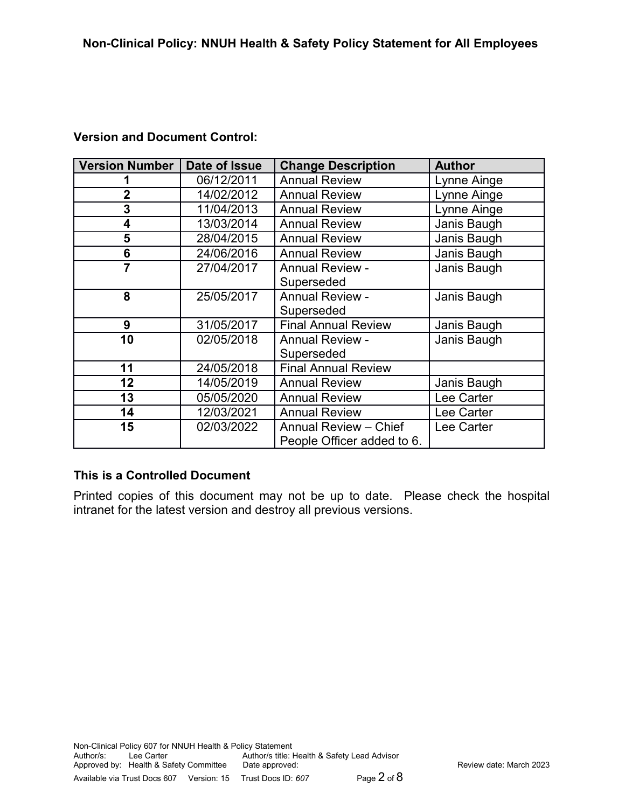## **Version and Document Control:**

| Version Number | Date of Issue | <b>Change Description</b>                  | <b>Author</b> |
|----------------|---------------|--------------------------------------------|---------------|
|                | 06/12/2011    | <b>Annual Review</b>                       | Lynne Ainge   |
| 2              | 14/02/2012    | <b>Annual Review</b>                       | Lynne Ainge   |
| 3              | 11/04/2013    | <b>Annual Review</b>                       | Lynne Ainge   |
| 4              | 13/03/2014    | <b>Annual Review</b>                       | Janis Baugh   |
| 5              | 28/04/2015    | <b>Annual Review</b>                       | Janis Baugh   |
| 6              | 24/06/2016    | <b>Annual Review</b>                       | Janis Baugh   |
| $\overline{7}$ | 27/04/2017    | <b>Annual Review -</b>                     | Janis Baugh   |
|                |               | Superseded                                 |               |
| 8              | 25/05/2017    | <b>Annual Review -</b>                     | Janis Baugh   |
|                |               | Superseded                                 |               |
| 9              | 31/05/2017    | <b>Final Annual Review</b>                 | Janis Baugh   |
| 10             | 02/05/2018    | Janis Baugh<br><b>Annual Review -</b>      |               |
|                |               | Superseded                                 |               |
| 11             | 24/05/2018    | <b>Final Annual Review</b>                 |               |
| 12             | 14/05/2019    | <b>Annual Review</b>                       | Janis Baugh   |
| 13             | 05/05/2020    | <b>Annual Review</b><br>Lee Carter         |               |
| 14             | 12/03/2021    | <b>Annual Review</b><br>Lee Carter         |               |
| 15             | 02/03/2022    | <b>Annual Review - Chief</b><br>Lee Carter |               |
|                |               | People Officer added to 6.                 |               |

## **This is a Controlled Document**

Printed copies of this document may not be up to date. Please check the hospital intranet for the latest version and destroy all previous versions.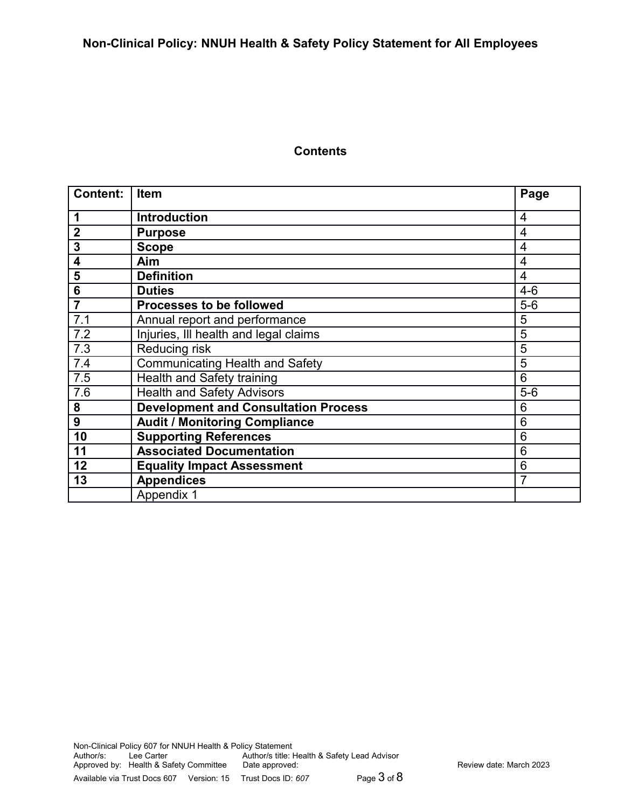#### **Contents**

| <b>Content:</b> | <b>Item</b>                                 | Page           |
|-----------------|---------------------------------------------|----------------|
| 1               | <b>Introduction</b>                         | $\overline{4}$ |
| $\overline{2}$  | <b>Purpose</b>                              | 4              |
| 3               | <b>Scope</b>                                | 4              |
| 4               | Aim                                         | 4              |
| 5               | <b>Definition</b>                           | $\overline{4}$ |
| 6               | <b>Duties</b>                               | $4-6$          |
| $\overline{7}$  | <b>Processes to be followed</b>             | $5-6$          |
| 7.1             | Annual report and performance               | 5              |
| 7.2             | Injuries, III health and legal claims       | 5              |
| 7.3             | Reducing risk                               | 5              |
| 7.4             | <b>Communicating Health and Safety</b>      | 5              |
| 7.5             | Health and Safety training                  | 6              |
| 7.6             | <b>Health and Safety Advisors</b>           | $5-6$          |
| 8               | <b>Development and Consultation Process</b> | 6              |
| 9               | <b>Audit / Monitoring Compliance</b>        | 6              |
| 10              | <b>Supporting References</b>                | 6              |
| 11              | <b>Associated Documentation</b>             | 6              |
| 12              | <b>Equality Impact Assessment</b>           | 6              |
| 13              | <b>Appendices</b>                           | $\overline{7}$ |
|                 | Appendix 1                                  |                |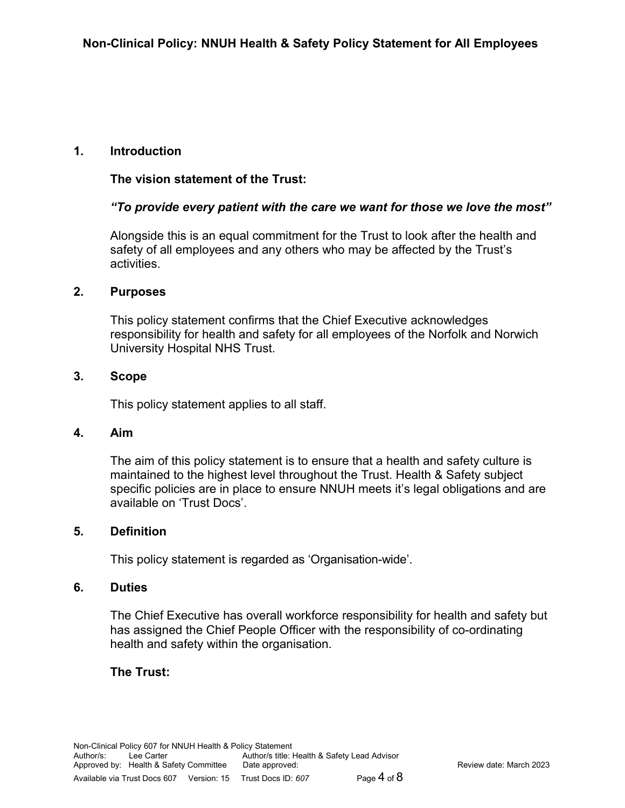## **1. Introduction**

### **The vision statement of the Trust:**

### *"To provide every patient with the care we want for those we love the most"*

Alongside this is an equal commitment for the Trust to look after the health and safety of all employees and any others who may be affected by the Trust's activities.

#### **2. Purposes**

This policy statement confirms that the Chief Executive acknowledges responsibility for health and safety for all employees of the Norfolk and Norwich University Hospital NHS Trust.

#### **3. Scope**

This policy statement applies to all staff.

#### **4. Aim**

The aim of this policy statement is to ensure that a health and safety culture is maintained to the highest level throughout the Trust. Health & Safety subject specific policies are in place to ensure NNUH meets it's legal obligations and are available on 'Trust Docs'.

#### **5. Definition**

This policy statement is regarded as 'Organisation-wide'.

#### **6. Duties**

The Chief Executive has overall workforce responsibility for health and safety but has assigned the Chief People Officer with the responsibility of co-ordinating health and safety within the organisation.

#### **The Trust:**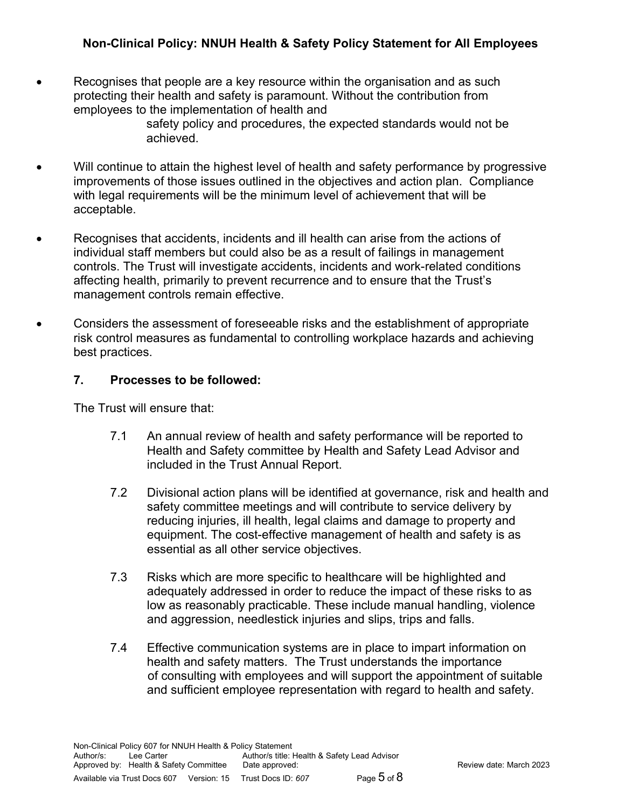## **Non-Clinical Policy: NNUH Health & Safety Policy Statement for All Employees**

• Recognises that people are a key resource within the organisation and as such protecting their health and safety is paramount. Without the contribution from employees to the implementation of health and

safety policy and procedures, the expected standards would not be achieved.

- Will continue to attain the highest level of health and safety performance by progressive improvements of those issues outlined in the objectives and action plan. Compliance with legal requirements will be the minimum level of achievement that will be acceptable.
- Recognises that accidents, incidents and ill health can arise from the actions of individual staff members but could also be as a result of failings in management controls. The Trust will investigate accidents, incidents and work-related conditions affecting health, primarily to prevent recurrence and to ensure that the Trust's management controls remain effective.
- Considers the assessment of foreseeable risks and the establishment of appropriate risk control measures as fundamental to controlling workplace hazards and achieving best practices.

#### **7. Processes to be followed:**

The Trust will ensure that:

- 7.1 An annual review of health and safety performance will be reported to Health and Safety committee by Health and Safety Lead Advisor and included in the Trust Annual Report.
- 7.2 Divisional action plans will be identified at governance, risk and health and safety committee meetings and will contribute to service delivery by reducing injuries, ill health, legal claims and damage to property and equipment. The cost-effective management of health and safety is as essential as all other service objectives.
- 7.3 Risks which are more specific to healthcare will be highlighted and adequately addressed in order to reduce the impact of these risks to as low as reasonably practicable. These include manual handling, violence and aggression, needlestick injuries and slips, trips and falls.
- 7.4 Effective communication systems are in place to impart information on health and safety matters. The Trust understands the importance of consulting with employees and will support the appointment of suitable and sufficient employee representation with regard to health and safety.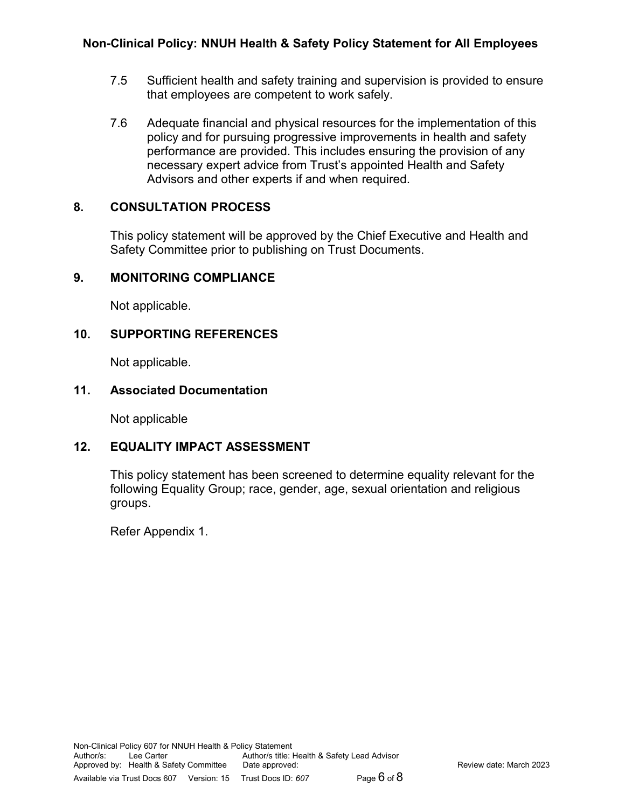- 7.5 Sufficient health and safety training and supervision is provided to ensure that employees are competent to work safely.
- 7.6 Adequate financial and physical resources for the implementation of this policy and for pursuing progressive improvements in health and safety performance are provided. This includes ensuring the provision of any necessary expert advice from Trust's appointed Health and Safety Advisors and other experts if and when required.

# **8. CONSULTATION PROCESS**

This policy statement will be approved by the Chief Executive and Health and Safety Committee prior to publishing on Trust Documents.

# **9. MONITORING COMPLIANCE**

Not applicable.

# **10. SUPPORTING REFERENCES**

Not applicable.

# **11. Associated Documentation**

Not applicable

# **12. EQUALITY IMPACT ASSESSMENT**

This policy statement has been screened to determine equality relevant for the following Equality Group; race, gender, age, sexual orientation and religious groups.

Refer Appendix 1.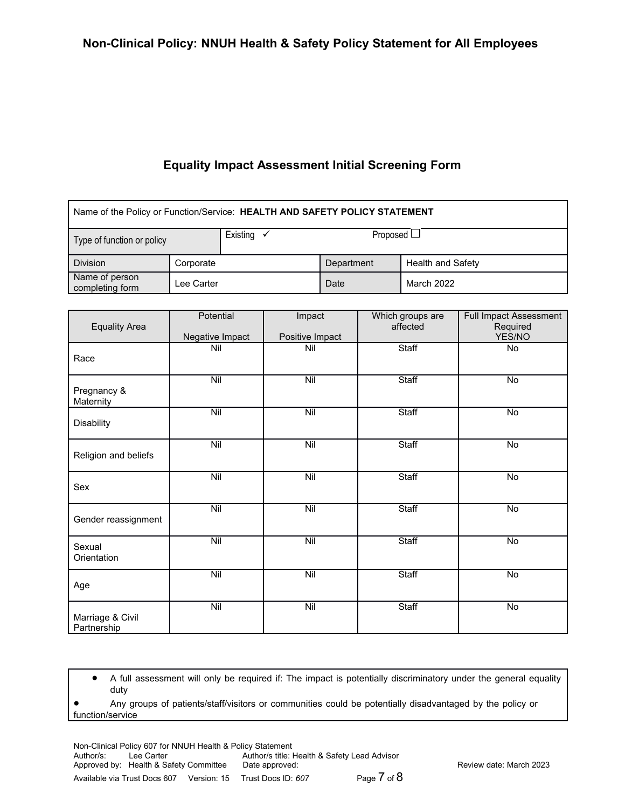## **Equality Impact Assessment Initial Screening Form**

| Name of the Policy or Function/Service: HEALTH AND SAFETY POLICY STATEMENT |           |                       |                 |                          |
|----------------------------------------------------------------------------|-----------|-----------------------|-----------------|--------------------------|
| Type of function or policy                                                 |           | Existing $\checkmark$ | Proposed $\Box$ |                          |
| <b>Division</b>                                                            | Corporate |                       | Department      | <b>Health and Safety</b> |
| Name of person<br>Lee Carter<br>completing form                            |           | Date                  | March 2022      |                          |

| <b>Equality Area</b>            | Potential<br>Negative Impact | Impact<br>Positive Impact | Which groups are<br>affected | Full Impact Assessment<br>Required<br>YES/NO |
|---------------------------------|------------------------------|---------------------------|------------------------------|----------------------------------------------|
| Race                            | Nil                          | Nil                       | Staff                        | <b>No</b>                                    |
| Pregnancy &<br>Maternity        | Nil                          | Nil                       | Staff                        | $\overline{No}$                              |
| Disability                      | $N$ il                       | Nil                       | Staff                        | $\overline{No}$                              |
| Religion and beliefs            | $\overline{N}$               | $\overline{N}$            | Staff                        | No                                           |
| Sex                             | $\overline{N}$               | $\overline{Nil}$          | Staff                        | $\overline{No}$                              |
| Gender reassignment             | Nil                          | Nil                       | Staff                        | $\overline{N}$                               |
| Sexual<br>Orientation           | Nil                          | $\overline{\text{Nil}}$   | Staff                        | $\overline{N}$                               |
| Age                             | Nil                          | Nil                       | <b>Staff</b>                 | No                                           |
| Marriage & Civil<br>Partnership | $N$ il                       | Nil                       | <b>Staff</b>                 | $\overline{No}$                              |

 A full assessment will only be required if: The impact is potentially discriminatory under the general equality duty

 Any groups of patients/staff/visitors or communities could be potentially disadvantaged by the policy or function/service